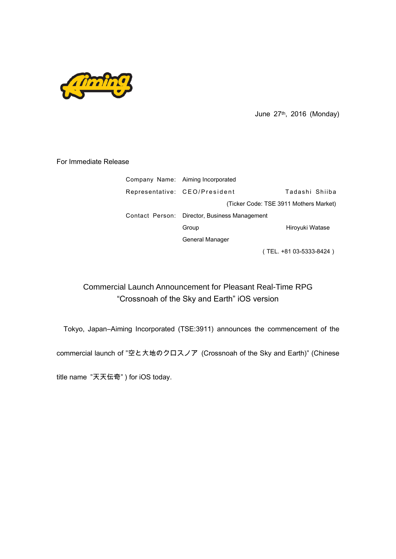

June 27th, 2016 (Monday)

## For Immediate Release

| Company Name: Aiming Incorporated             |                                        |
|-----------------------------------------------|----------------------------------------|
| Representative: CEO/President                 | Tadashi Shiiba                         |
|                                               | (Ticker Code: TSE 3911 Mothers Market) |
| Contact Person: Director, Business Management |                                        |
| Group                                         | Hiroyuki Watase                        |
| General Manager                               |                                        |
|                                               | (TEL. +81 03-5333-8424)                |

## Commercial Launch Announcement for Pleasant Real-Time RPG "Crossnoah of the Sky and Earth" iOS version

Tokyo, Japan―Aiming Incorporated (TSE:3911) announces the commencement of the

commercial launch of "空と大地のクロスノア (Crossnoah of the Sky and Earth)" (Chinese

title name "天天伝奇" ) for iOS today.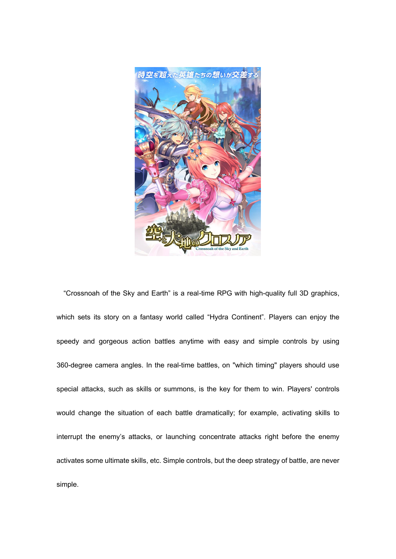

"Crossnoah of the Sky and Earth" is a real-time RPG with high-quality full 3D graphics, which sets its story on a fantasy world called "Hydra Continent". Players can enjoy the speedy and gorgeous action battles anytime with easy and simple controls by using 360-degree camera angles. In the real-time battles, on "which timing" players should use special attacks, such as skills or summons, is the key for them to win. Players' controls would change the situation of each battle dramatically; for example, activating skills to interrupt the enemy's attacks, or launching concentrate attacks right before the enemy activates some ultimate skills, etc. Simple controls, but the deep strategy of battle, are never simple.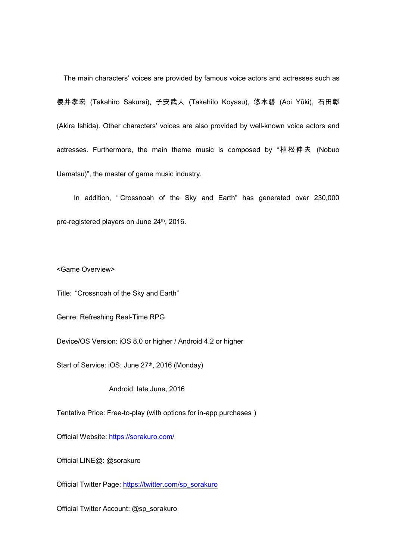The main characters' voices are provided by famous voice actors and actresses such as 櫻井孝宏 (Takahiro Sakurai), 子安武人 (Takehito Koyasu), 悠木碧 (Aoi Yūki), 石田彰 (Akira Ishida). Other characters' voices are also provided by well-known voice actors and actresses. Furthermore, the main theme music is composed by "植松伸夫 (Nobuo Uematsu)", the master of game music industry.

In addition, " Crossnoah of the Sky and Earth" has generated over 230,000 pre-registered players on June 24<sup>th</sup>, 2016.

<Game Overview>

Title: "Crossnoah of the Sky and Earth"

Genre: Refreshing Real-Time RPG

Device/OS Version: iOS 8.0 or higher / Android 4.2 or higher

Start of Service: iOS: June 27<sup>th</sup>, 2016 (Monday)

Android: late June, 2016

Tentative Price: Free-to-play (with options for in-app purchases)

Official Website: <https://sorakuro.com/>

Official LINE@: @sorakuro

Official Twitter Page: [https://twitter.com/sp\\_sorakuro](https://twitter.com/sp_sorakuro)

Official Twitter Account: @sp\_sorakuro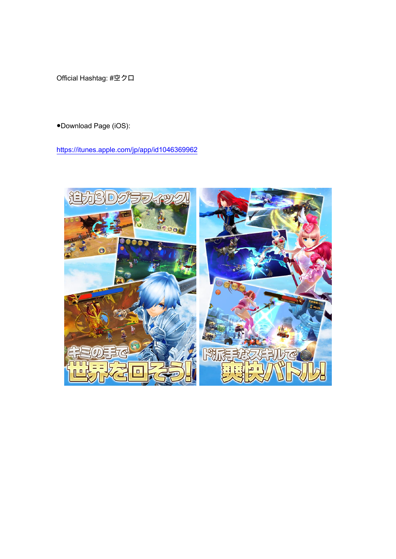Official Hashtag: #空クロ

●Download Page (iOS):

<https://itunes.apple.com/jp/app/id1046369962>